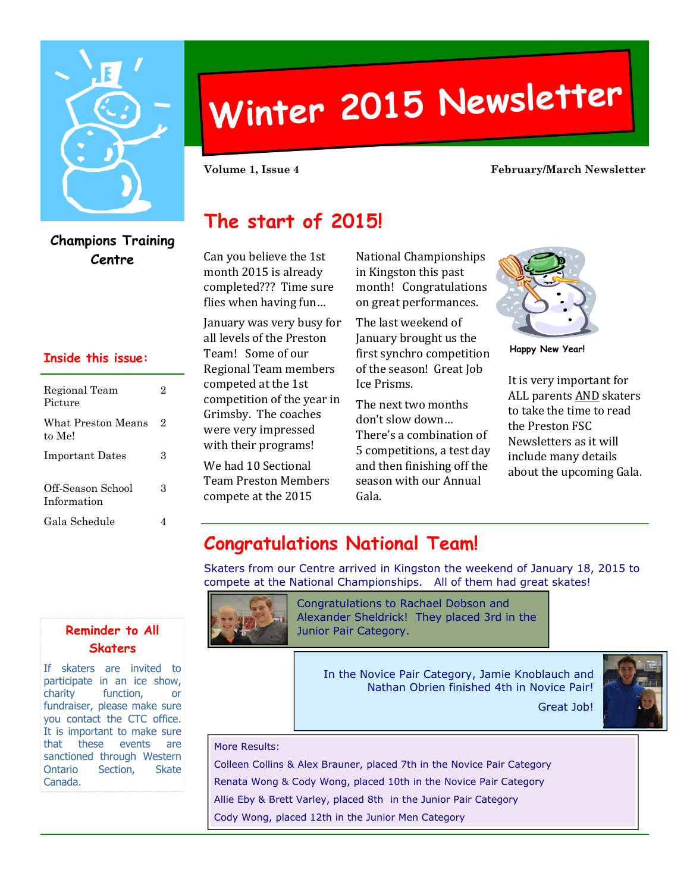

**Champions Training**

2

2

3

Regional Team Picture

to Me!

What Preston Means

**Inside this issue:**

Important Dates 3

Gala Schedule 4

Off-Season School Information

# **Winter <sup>2015</sup> Newsletter**

#### **Volume 1, Issue 4 February/March Newsletter**

# **The start of 2015!**

**Centre** Can you believe the 1st month 2015 is already completed??? Time sure flies when having fun…

> January was very busy for all levels of the Preston Team! Some of our Regional Team members competed at the 1st competition of the year in Grimsby. The coaches were very impressed with their programs!

We had 10 Sectional Team Preston Members compete at the 2015

National Championships in Kingston this past month! Congratulations on great performances.

The last weekend of January brought us the first synchro competition of the season! Great Job Ice Prisms.

The next two months don't slow down… There's a combination of 5 competitions, a test day and then finishing off the season with our Annual Gala.



**Happy New Year!**

It is very important for ALL parents AND skaters to take the time to read the Preston FSC Newsletters as it will include many details about the upcoming Gala.

# **Congratulations National Team!**

Skaters from our Centre arrived in Kingston the weekend of January 18, 2015 to compete at the National Championships. All of them had great skates!



Congratulations to Rachael Dobson and Alexander Sheldrick! They placed 3rd in the Junior Pair Category.

> In the Novice Pair Category, Jamie Knoblauch and Nathan Obrien finished 4th in Novice Pair!



#### More Results:

Colleen Collins & Alex Brauner, placed 7th in the Novice Pair Category Renata Wong & Cody Wong, placed 10th in the Novice Pair Category Allie Eby & Brett Varley, placed 8th in the Junior Pair Category Cody Wong, placed 12th in the Junior Men Category

## **Reminder to All Skaters**

If skaters are invited to participate in an ice show, charity function, or fundraiser, please make sure you contact the CTC office. It is important to make sure that these events are sanctioned through Western Ontario Section, Skate Canada.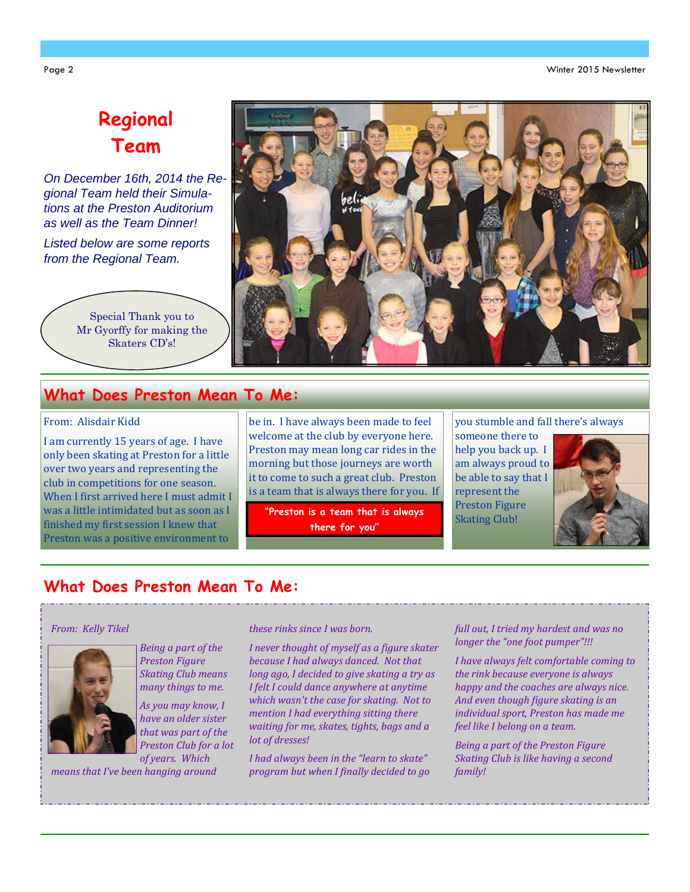Page 2 Winter 2015 Newsletter

# **Regional Team**

*On December 16th, 2014 the Regional Team held their Simulations at the Preston Auditorium as well as the Team Dinner!*

*Listed below are some reports from the Regional Team.*

> Special Thank you to Mr Gyorffy for making the Skaters CD's!



## **What Does Preston Mean To Me:**

#### From: Alisdair Kidd

I am currently 15 years of age. I have only been skating at Preston for a little over two years and representing the club in competitions for one season. When I first arrived here I must admit I was a little intimidated but as soon as I finished my first session I knew that Preston was a positive environment to

be in. I have always been made to feel welcome at the club by everyone here. Preston may mean long car rides in the morning but those journeys are worth it to come to such a great club. Preston is a team that is always there for you. If

**"Preston is a team that is always there for you"**

you stumble and fall there's always

someone there to help you back up. I am always proud to be able to say that I represent the Preston Figure Skating Club!



## **What Does Preston Mean To Me:**

#### *From: Kelly Tikel*



*Being a part of the Preston Figure Skating Club means many things to me.*

*As you may know, I have an older sister that was part of the Preston Club for a lot of years. Which*

*means that I've been hanging around*

#### *these rinks since I was born.*

*I never thought of myself as a figure skater because I had always danced. Not that long ago, I decided to give skating a try as I felt I could dance anywhere at anytime which wasn't the case for skating. Not to mention I had everything sitting there waiting for me, skates, tights, bags and a lot of dresses!*

*I had always been in the "learn to skate" program but when I finally decided to go*

#### *full out, I tried my hardest and was no longer the "one foot pumper"!!!*

*I have always felt comfortable coming to the rink because everyone is always happy and the coaches are always nice. And even though figure skating is an individual sport, Preston has made me feel like I belong on a team.*

*Being a part of the Preston Figure Skating Club is like having a second family!*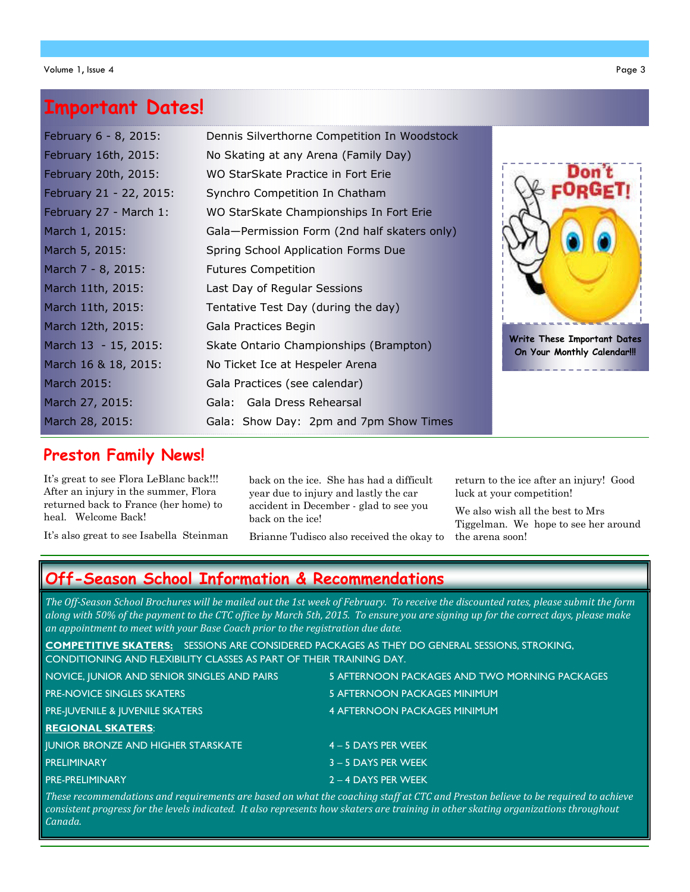# **Important Dates!**

| February 6 - 8, 2015:   | Dennis Silverthorne Competition In Woodstock |                                                            |
|-------------------------|----------------------------------------------|------------------------------------------------------------|
| February 16th, 2015:    | No Skating at any Arena (Family Day)         |                                                            |
| February 20th, 2015:    | WO StarSkate Practice in Fort Erie           | Don't                                                      |
| February 21 - 22, 2015: | Synchro Competition In Chatham               |                                                            |
| February 27 - March 1:  | WO StarSkate Championships In Fort Erie      |                                                            |
| March 1, 2015:          | Gala-Permission Form (2nd half skaters only) |                                                            |
| March 5, 2015:          | Spring School Application Forms Due          |                                                            |
| March 7 - 8, 2015:      | <b>Futures Competition</b>                   |                                                            |
| March 11th, 2015:       | Last Day of Regular Sessions                 |                                                            |
| March 11th, 2015:       | Tentative Test Day (during the day)          |                                                            |
| March 12th, 2015:       | Gala Practices Begin                         |                                                            |
| March 13 - 15, 2015:    | Skate Ontario Championships (Brampton)       | Write These Important Dates<br>On Your Monthly Calendar!!! |
| March 16 & 18, 2015:    | No Ticket Ice at Hespeler Arena              |                                                            |
| March 2015:             | Gala Practices (see calendar)                |                                                            |
| March 27, 2015:         | Gala: Gala Dress Rehearsal                   |                                                            |
| March 28, 2015:         | Gala: Show Day: 2pm and 7pm Show Times       |                                                            |

## **Preston Family News!**

It's great to see Flora LeBlanc back!!! After an injury in the summer, Flora returned back to France (her home) to heal. Welcome Back!

It's also great to see Isabella Steinman

back on the ice. She has had a difficult year due to injury and lastly the car accident in December - glad to see you back on the ice!

Brianne Tudisco also received the okay to

return to the ice after an injury! Good luck at your competition!

We also wish all the best to Mrs Tiggelman. We hope to see her around the arena soon!

# **Off-Season School Information & Recommendations**

*The Off-Season School Brochures will be mailed out the 1st week of February. To receive the discounted rates, please submit the form along with 50% of the payment to the CTC office by March 5th, 2015. To ensure you are signing up for the correct days, please make an appointment to meet with your Base Coach prior to the registration due date.*

**COMPETITIVE SKATERS:** SESSIONS ARE CONSIDERED PACKAGES AS THEY DO GENERAL SESSIONS, STROKING, CONDITIONING AND FLEXIBILITY CLASSES AS PART OF THEIR TRAINING DAY.

| NOVICE, JUNIOR AND SENIOR SINGLES AND PAIRS | 5 AFTERNOON PACKAGES AND TWO MORNING PACKAGES |
|---------------------------------------------|-----------------------------------------------|
| <b>PRE-NOVICE SINGLES SKATERS</b>           | 5 AFTERNOON PACKAGES MINIMUM                  |
| <b>PRE-IUVENILE &amp; IUVENILE SKATERS</b>  | 4 AFTERNOON PACKAGES MINIMUM                  |
| <b>REGIONAL SKATERS:</b>                    |                                               |
| <b>JUNIOR BRONZE AND HIGHER STARSKATE</b>   | $4 - 5$ DAYS PER WEEK                         |
| PRELIMINARY                                 | $3 - 5$ DAYS PER WEEK                         |
| <b>PRE-PRELIMINARY</b>                      | $2 - 4$ DAYS PER WEEK                         |

*These recommendations and requirements are based on what the coaching staff at CTC and Preston believe to be required to achieve consistent progress for the levels indicated. It also represents how skaters are training in other skating organizations throughout Canada.*